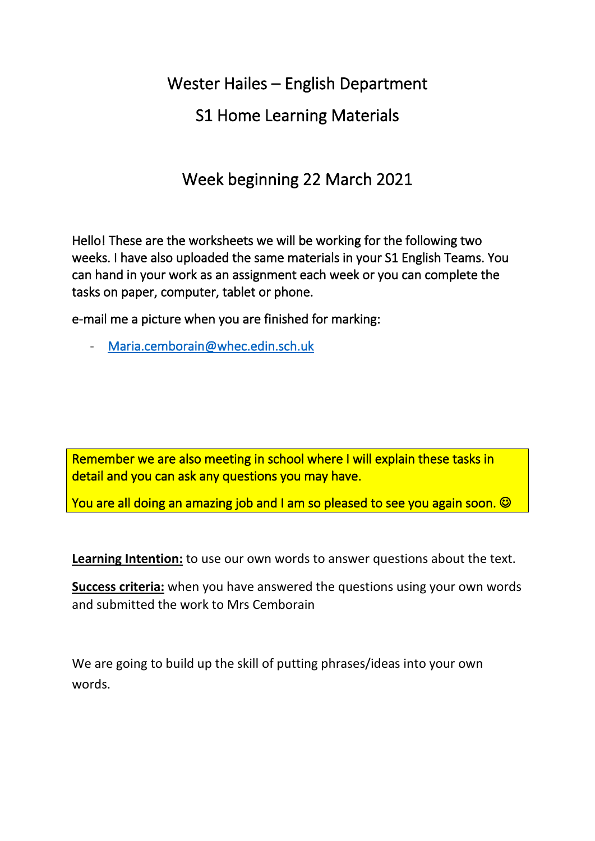Wester Hailes – English Department

# S1 Home Learning Materials

# Week beginning 22 March 2021

Hello! These are the worksheets we will be working for the following two weeks. I have also uploaded the same materials in your S1 English Teams. You can hand in your work as an assignment each week or you can complete the tasks on paper, computer, tablet or phone.

e-mail me a picture when you are finished for marking:

- [Maria.cemborain@whec.edin.sch.uk](mailto:Maria.cemborain@whec.edin.sch.uk) 

Remember we are also meeting in school where I will explain these tasks in detail and you can ask any questions you may have.

You are all doing an amazing job and I am so pleased to see you again soon.  $\odot$ 

**Learning Intention:** to use our own words to answer questions about the text.

**Success criteria:** when you have answered the questions using your own words and submitted the work to Mrs Cemborain

We are going to build up the skill of putting phrases/ideas into your own words.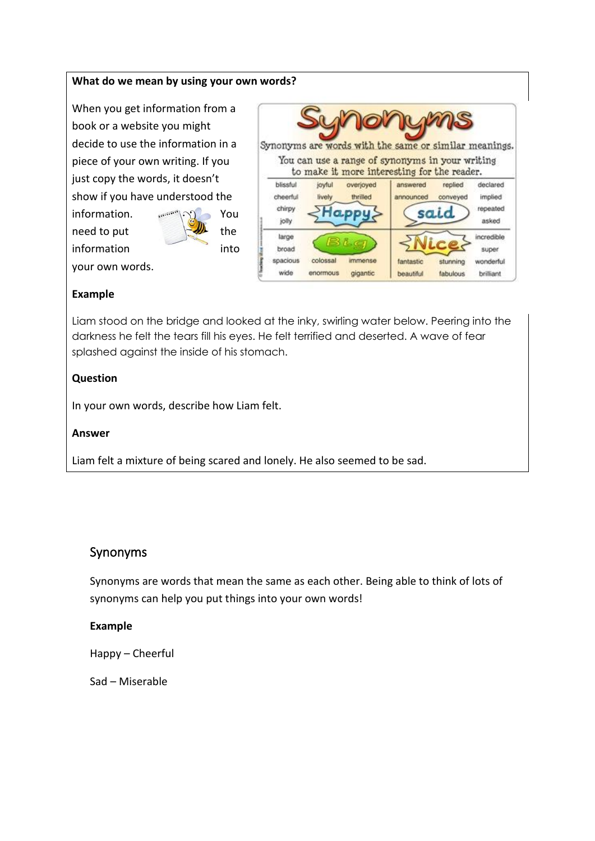### **What do we mean by using your own words?**

When you get information from a book or a website you might decide to use the information in a piece of your own writing. If you just copy the words, it doesn't show if you have understood the

information. www. 100 You need to put  $\leftarrow$  the information into

your own words.

|                                         |                      |                                  | <b>IONUMS</b><br>Synonyms are words with the same or similar meanings.                         |                      |                                               |
|-----------------------------------------|----------------------|----------------------------------|------------------------------------------------------------------------------------------------|----------------------|-----------------------------------------------|
|                                         |                      |                                  | You can use a range of synonyms in your writing<br>to make it more interesting for the reader. |                      |                                               |
| blissful<br>cheerful<br>chirpy<br>jolly | joyful<br>lively     | overjoyed<br>thrilled            | answered<br>announced<br>said                                                                  | replied<br>conveyed  | declared<br>implied<br>repeated<br>asked      |
| large<br>broad<br>spacious<br>wide      | colossal<br>enormous | Bio<br><b>MOROSA</b><br>gigantic | fantastic<br>beautiful                                                                         | stunning<br>fabulous | incredible<br>super<br>wonderful<br>brilliant |

#### **Example**

Liam stood on the bridge and looked at the inky, swirling water below. Peering into the darkness he felt the tears fill his eyes. He felt terrified and deserted. A wave of fear splashed against the inside of his stomach.

### **Question**

In your own words, describe how Liam felt.

#### **Answer**

Liam felt a mixture of being scared and lonely. He also seemed to be sad.

### Synonyms

Synonyms are words that mean the same as each other. Being able to think of lots of synonyms can help you put things into your own words!

#### **Example**

Happy – Cheerful

Sad – Miserable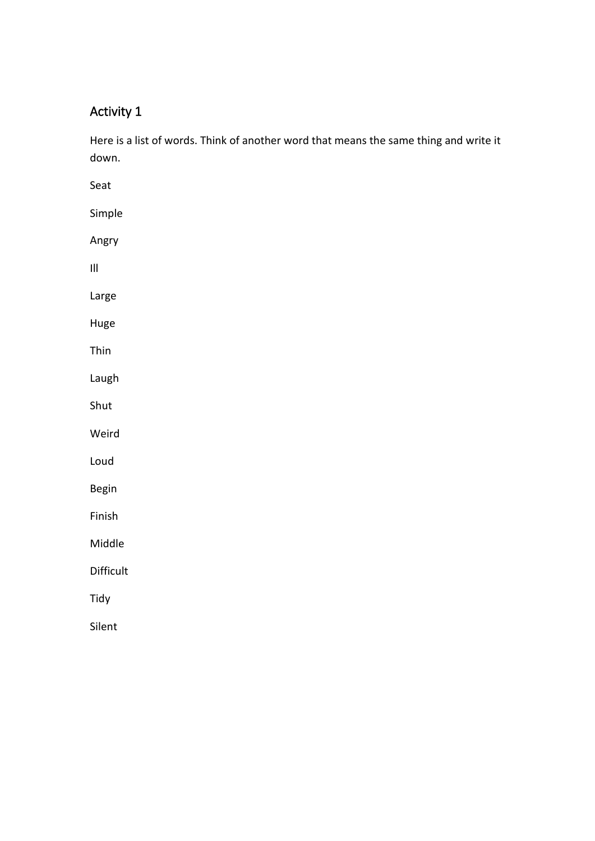Here is a list of words. Think of another word that means the same thing and write it down.

| Seat                               |  |  |  |
|------------------------------------|--|--|--|
| Simple                             |  |  |  |
| Angry                              |  |  |  |
| $\ensuremath{\mathsf{III}}\xspace$ |  |  |  |
| Large                              |  |  |  |
| Huge                               |  |  |  |
| Thin                               |  |  |  |
| Laugh                              |  |  |  |
| Shut                               |  |  |  |
| Weird                              |  |  |  |
| Loud                               |  |  |  |
| Begin                              |  |  |  |
| Finish                             |  |  |  |
| Middle                             |  |  |  |
| Difficult                          |  |  |  |
| Tidy                               |  |  |  |
| Silent                             |  |  |  |
|                                    |  |  |  |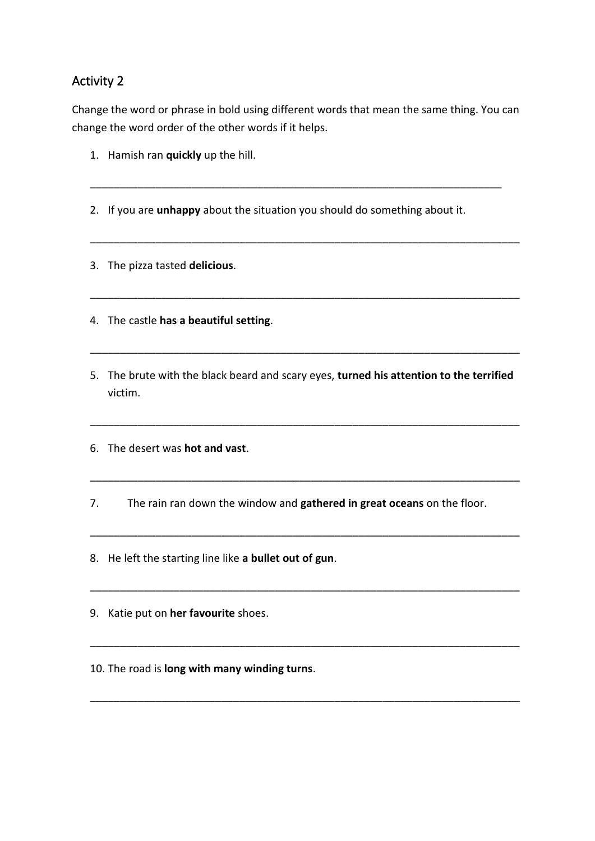Change the word or phrase in bold using different words that mean the same thing. You can change the word order of the other words if it helps.

\_\_\_\_\_\_\_\_\_\_\_\_\_\_\_\_\_\_\_\_\_\_\_\_\_\_\_\_\_\_\_\_\_\_\_\_\_\_\_\_\_\_\_\_\_\_\_\_\_\_\_\_\_\_\_\_\_\_\_\_\_\_\_\_\_\_\_\_\_

\_\_\_\_\_\_\_\_\_\_\_\_\_\_\_\_\_\_\_\_\_\_\_\_\_\_\_\_\_\_\_\_\_\_\_\_\_\_\_\_\_\_\_\_\_\_\_\_\_\_\_\_\_\_\_\_\_\_\_\_\_\_\_\_\_\_\_\_\_\_\_\_

\_\_\_\_\_\_\_\_\_\_\_\_\_\_\_\_\_\_\_\_\_\_\_\_\_\_\_\_\_\_\_\_\_\_\_\_\_\_\_\_\_\_\_\_\_\_\_\_\_\_\_\_\_\_\_\_\_\_\_\_\_\_\_\_\_\_\_\_\_\_\_\_

- 1. Hamish ran **quickly** up the hill.
- 2. If you are **unhappy** about the situation you should do something about it.
- 3. The pizza tasted **delicious**.
- 4. The castle **has a beautiful setting**.
- 5. The brute with the black beard and scary eyes, **turned his attention to the terrified** victim.

\_\_\_\_\_\_\_\_\_\_\_\_\_\_\_\_\_\_\_\_\_\_\_\_\_\_\_\_\_\_\_\_\_\_\_\_\_\_\_\_\_\_\_\_\_\_\_\_\_\_\_\_\_\_\_\_\_\_\_\_\_\_\_\_\_\_\_\_\_\_\_\_

\_\_\_\_\_\_\_\_\_\_\_\_\_\_\_\_\_\_\_\_\_\_\_\_\_\_\_\_\_\_\_\_\_\_\_\_\_\_\_\_\_\_\_\_\_\_\_\_\_\_\_\_\_\_\_\_\_\_\_\_\_\_\_\_\_\_\_\_\_\_\_\_

\_\_\_\_\_\_\_\_\_\_\_\_\_\_\_\_\_\_\_\_\_\_\_\_\_\_\_\_\_\_\_\_\_\_\_\_\_\_\_\_\_\_\_\_\_\_\_\_\_\_\_\_\_\_\_\_\_\_\_\_\_\_\_\_\_\_\_\_\_\_\_\_

\_\_\_\_\_\_\_\_\_\_\_\_\_\_\_\_\_\_\_\_\_\_\_\_\_\_\_\_\_\_\_\_\_\_\_\_\_\_\_\_\_\_\_\_\_\_\_\_\_\_\_\_\_\_\_\_\_\_\_\_\_\_\_\_\_\_\_\_\_\_\_\_

\_\_\_\_\_\_\_\_\_\_\_\_\_\_\_\_\_\_\_\_\_\_\_\_\_\_\_\_\_\_\_\_\_\_\_\_\_\_\_\_\_\_\_\_\_\_\_\_\_\_\_\_\_\_\_\_\_\_\_\_\_\_\_\_\_\_\_\_\_\_\_\_

\_\_\_\_\_\_\_\_\_\_\_\_\_\_\_\_\_\_\_\_\_\_\_\_\_\_\_\_\_\_\_\_\_\_\_\_\_\_\_\_\_\_\_\_\_\_\_\_\_\_\_\_\_\_\_\_\_\_\_\_\_\_\_\_\_\_\_\_\_\_\_\_

\_\_\_\_\_\_\_\_\_\_\_\_\_\_\_\_\_\_\_\_\_\_\_\_\_\_\_\_\_\_\_\_\_\_\_\_\_\_\_\_\_\_\_\_\_\_\_\_\_\_\_\_\_\_\_\_\_\_\_\_\_\_\_\_\_\_\_\_\_\_\_\_

- 6. The desert was **hot and vast**.
- 7. The rain ran down the window and **gathered in great oceans** on the floor.
- 8. He left the starting line like **a bullet out of gun**.
- 9. Katie put on **her favourite** shoes.
- 10. The road is **long with many winding turns**.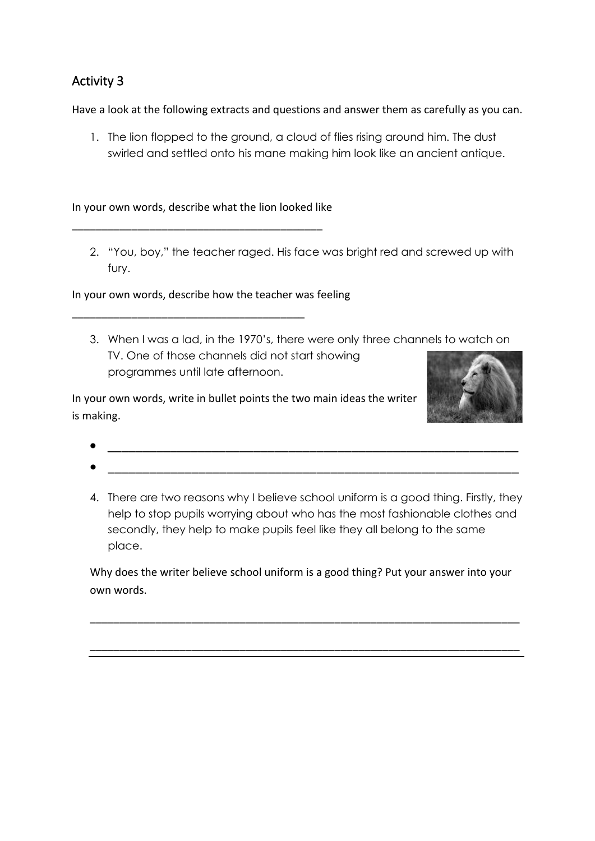Have a look at the following extracts and questions and answer them as carefully as you can.

1. The lion flopped to the ground, a cloud of flies rising around him. The dust swirled and settled onto his mane making him look like an ancient antique.

In your own words, describe what the lion looked like

\_\_\_\_\_\_\_\_\_\_\_\_\_\_\_\_\_\_\_\_\_\_\_\_\_\_\_\_\_\_\_\_\_\_\_\_\_\_\_\_\_\_

\_\_\_\_\_\_\_\_\_\_\_\_\_\_\_\_\_\_\_\_\_\_\_\_\_\_\_\_\_\_\_\_\_\_\_\_\_\_\_

2. "You, boy," the teacher raged. His face was bright red and screwed up with fury.

In your own words, describe how the teacher was feeling

3. When I was a lad, in the 1970's, there were only three channels to watch on TV. One of those channels did not start showing programmes until late afternoon.

In your own words, write in bullet points the two main ideas the writer is making.



- $\bullet$   $\overbrace{\hspace{25mm}}$   $\overbrace{\hspace{25mm}}$   $\overbrace{\hspace{25mm}}$   $\overbrace{\hspace{25mm}}$
- 4. There are two reasons why I believe school uniform is a good thing. Firstly, they help to stop pupils worrying about who has the most fashionable clothes and secondly, they help to make pupils feel like they all belong to the same place.

Why does the writer believe school uniform is a good thing? Put your answer into your own words.

\_\_\_\_\_\_\_\_\_\_\_\_\_\_\_\_\_\_\_\_\_\_\_\_\_\_\_\_\_\_\_\_\_\_\_\_\_\_\_\_\_\_\_\_\_\_\_\_\_\_\_\_\_\_\_\_\_\_\_\_\_\_\_\_\_\_\_\_\_\_\_\_

\_\_\_\_\_\_\_\_\_\_\_\_\_\_\_\_\_\_\_\_\_\_\_\_\_\_\_\_\_\_\_\_\_\_\_\_\_\_\_\_\_\_\_\_\_\_\_\_\_\_\_\_\_\_\_\_\_\_\_\_\_\_\_\_\_\_\_\_\_\_\_\_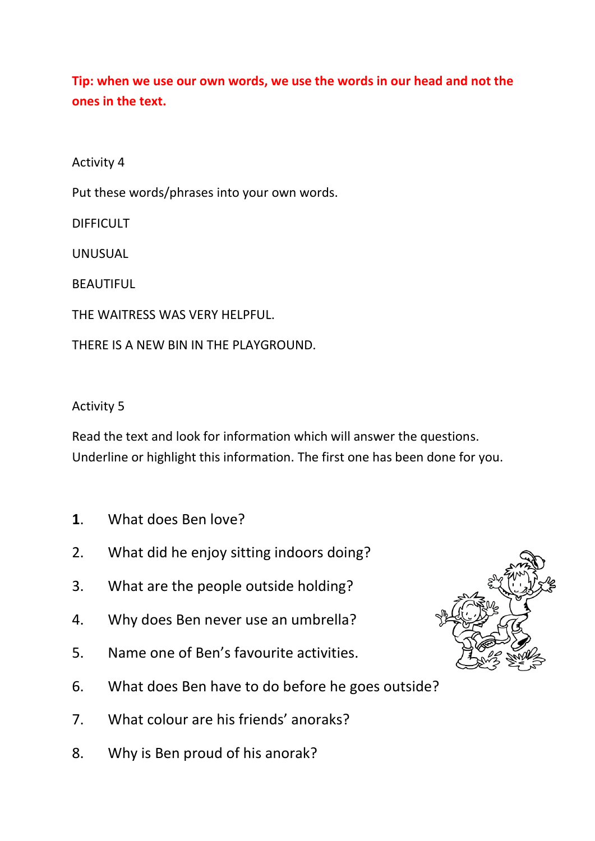**Tip: when we use our own words, we use the words in our head and not the ones in the text.** 

Activity 4

Put these words/phrases into your own words.

DIFFICULT

UNUSUAL

**BEAUTIFUL** 

THE WAITRESS WAS VERY HELPFUL.

THERE IS A NEW BIN IN THE PLAYGROUND.

Activity 5

Read the text and look for information which will answer the questions. Underline or highlight this information. The first one has been done for you.

- **1**. What does Ben love?
- 2. What did he enjoy sitting indoors doing?
- 3. What are the people outside holding?
- 4. Why does Ben never use an umbrella?
- 5. Name one of Ben's favourite activities.
- 6. What does Ben have to do before he goes outside?
- 7. What colour are his friends' anoraks?
- 8. Why is Ben proud of his anorak?

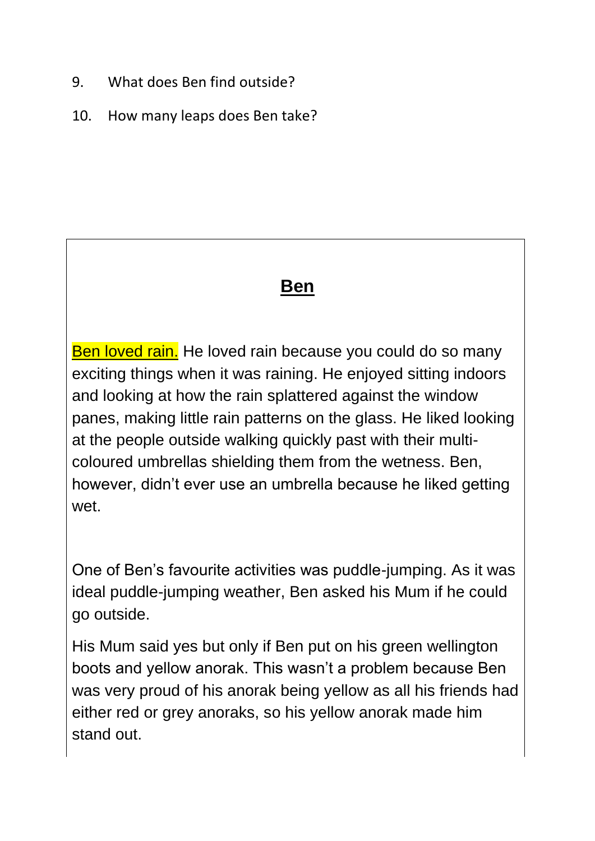- 9. What does Ben find outside?
- 10. How many leaps does Ben take?

# **Ben**

Ben loved rain. He loved rain because you could do so many exciting things when it was raining. He enjoyed sitting indoors and looking at how the rain splattered against the window panes, making little rain patterns on the glass. He liked looking at the people outside walking quickly past with their multicoloured umbrellas shielding them from the wetness. Ben, however, didn't ever use an umbrella because he liked getting wet.

One of Ben's favourite activities was puddle-jumping. As it was ideal puddle-jumping weather, Ben asked his Mum if he could go outside.

His Mum said yes but only if Ben put on his green wellington boots and yellow anorak. This wasn't a problem because Ben was very proud of his anorak being yellow as all his friends had either red or grey anoraks, so his yellow anorak made him stand out.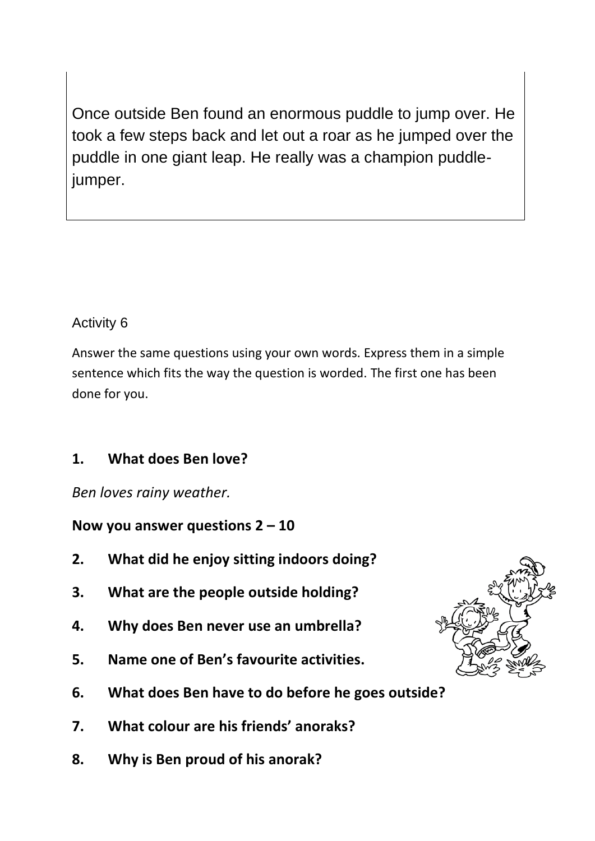Once outside Ben found an enormous puddle to jump over. He took a few steps back and let out a roar as he jumped over the puddle in one giant leap. He really was a champion puddlejumper.

## Activity 6

Answer the same questions using your own words. Express them in a simple sentence which fits the way the question is worded. The first one has been done for you.

# **1. What does Ben love?**

*Ben loves rainy weather.*

**Now you answer questions 2 – 10**

- **2. What did he enjoy sitting indoors doing?**
- **3. What are the people outside holding?**
- **4. Why does Ben never use an umbrella?**
- **5. Name one of Ben's favourite activities.**
- **6. What does Ben have to do before he goes outside?**
- **7. What colour are his friends' anoraks?**
- **8. Why is Ben proud of his anorak?**

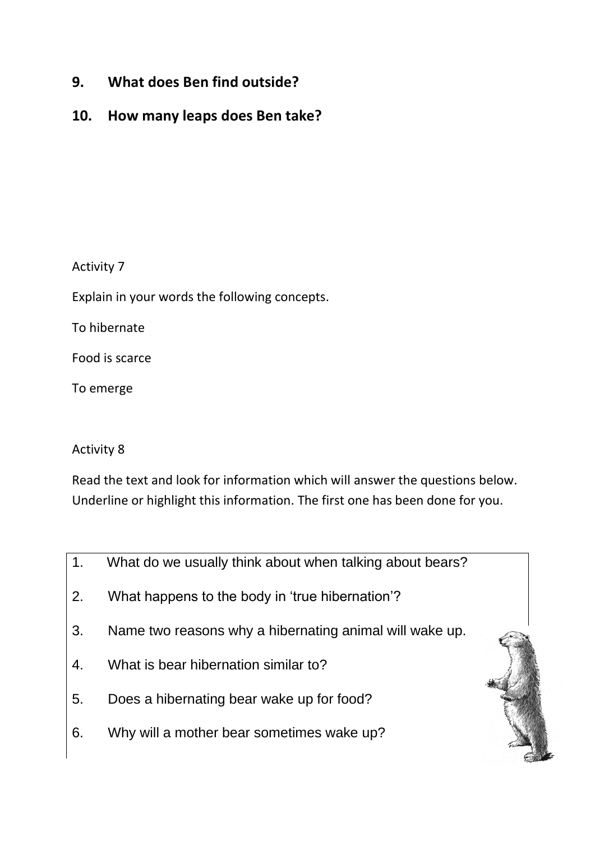- **9. What does Ben find outside?**
- **10. How many leaps does Ben take?**

Explain in your words the following concepts.

To hibernate

Food is scarce

To emerge

## Activity 8

Read the text and look for information which will answer the questions below. Underline or highlight this information. The first one has been done for you.

- 1. What do we usually think about when talking about bears?
- 2. What happens to the body in 'true hibernation'?
- 3. Name two reasons why a hibernating animal will wake up.
- 4. What is bear hibernation similar to?
- 5. Does a hibernating bear wake up for food?
- 6. Why will a mother bear sometimes wake up?

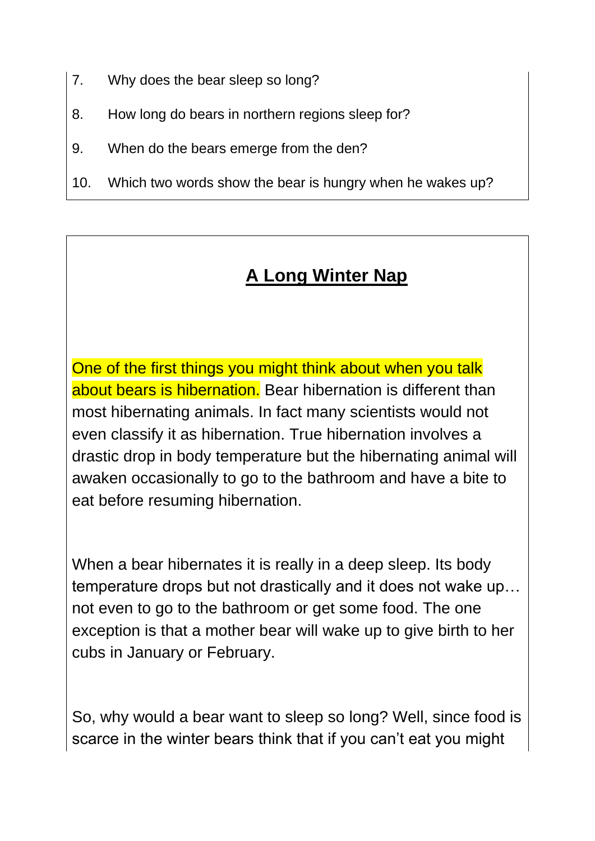- 7. Why does the bear sleep so long?
- 8. How long do bears in northern regions sleep for?
- 9. When do the bears emerge from the den?
- 10. Which two words show the bear is hungry when he wakes up?

# **A Long Winter Nap**

One of the first things you might think about when you talk about bears is hibernation. Bear hibernation is different than most hibernating animals. In fact many scientists would not even classify it as hibernation. True hibernation involves a drastic drop in body temperature but the hibernating animal will awaken occasionally to go to the bathroom and have a bite to eat before resuming hibernation.

When a bear hibernates it is really in a deep sleep. Its body temperature drops but not drastically and it does not wake up… not even to go to the bathroom or get some food. The one exception is that a mother bear will wake up to give birth to her cubs in January or February.

So, why would a bear want to sleep so long? Well, since food is scarce in the winter bears think that if you can't eat you might